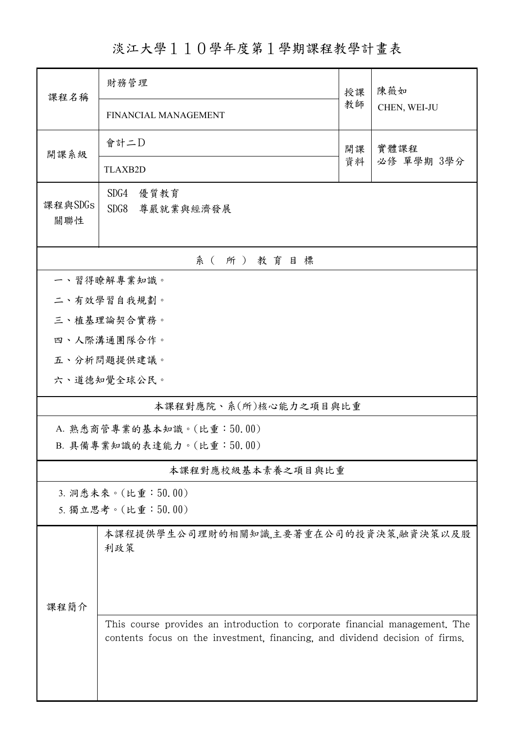淡江大學110學年度第1學期課程教學計畫表

| 課程名稱                      | 財務管理                                                                                                                                                        |          | 陳薇如                |  |  |  |  |  |
|---------------------------|-------------------------------------------------------------------------------------------------------------------------------------------------------------|----------|--------------------|--|--|--|--|--|
|                           | FINANCIAL MANAGEMENT                                                                                                                                        | 教師       | CHEN, WEI-JU       |  |  |  |  |  |
| 開課系級                      | 會計二D                                                                                                                                                        | 開課<br>資料 | 實體課程<br>必修 單學期 3學分 |  |  |  |  |  |
|                           | <b>TLAXB2D</b>                                                                                                                                              |          |                    |  |  |  |  |  |
| 課程與SDGs<br>關聯性            | SDG4<br>優質教育<br>SDG8<br>尊嚴就業與經濟發展                                                                                                                           |          |                    |  |  |  |  |  |
| 系(所)教育目標                  |                                                                                                                                                             |          |                    |  |  |  |  |  |
|                           | 一、習得瞭解專業知識。                                                                                                                                                 |          |                    |  |  |  |  |  |
| 二、有效學習自我規劃。               |                                                                                                                                                             |          |                    |  |  |  |  |  |
| 三、植基理論契合實務。               |                                                                                                                                                             |          |                    |  |  |  |  |  |
|                           | 四、人際溝通團隊合作。                                                                                                                                                 |          |                    |  |  |  |  |  |
|                           | 五、分析問題提供建議。                                                                                                                                                 |          |                    |  |  |  |  |  |
|                           | 六、道德知覺全球公民。                                                                                                                                                 |          |                    |  |  |  |  |  |
|                           | 本課程對應院、系(所)核心能力之項目與比重                                                                                                                                       |          |                    |  |  |  |  |  |
| A. 熟悉商管專業的基本知識。(比重:50.00) |                                                                                                                                                             |          |                    |  |  |  |  |  |
|                           | B. 具備專業知識的表達能力。(比重:50.00)                                                                                                                                   |          |                    |  |  |  |  |  |
|                           | 本課程對應校級基本素養之項目與比重                                                                                                                                           |          |                    |  |  |  |  |  |
|                           | 3. 洞悉未來。(比重:50.00)                                                                                                                                          |          |                    |  |  |  |  |  |
|                           | 5. 獨立思考。(比重:50.00)                                                                                                                                          |          |                    |  |  |  |  |  |
|                           | 本課程提供學生公司理財的相關知識,主要著重在公司的投資決策,融資決策以及股<br>利政策                                                                                                                |          |                    |  |  |  |  |  |
| 課程簡介                      |                                                                                                                                                             |          |                    |  |  |  |  |  |
|                           |                                                                                                                                                             |          |                    |  |  |  |  |  |
|                           | This course provides an introduction to corporate financial management. The<br>contents focus on the investment, financing, and dividend decision of firms. |          |                    |  |  |  |  |  |
|                           |                                                                                                                                                             |          |                    |  |  |  |  |  |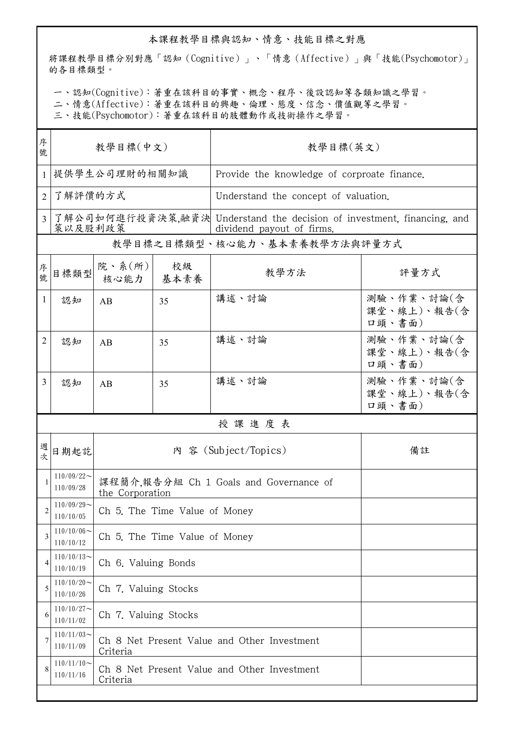## 本課程教學目標與認知、情意、技能目標之對應

將課程教學目標分別對應「認知(Cognitive)」、「情意(Affective)」與「技能(Psychomotor)」 的各目標類型。

一、認知(Cognitive):著重在該科目的事實、概念、程序、後設認知等各類知識之學習。

二、情意(Affective):著重在該科目的興趣、倫理、態度、信念、價值觀等之學習。

三、技能(Psychomotor):著重在該科目的肢體動作或技術操作之學習。

| 序<br>號         | 教學目標(中文)                     |                                                           |    | 教學目標(英文)                                                                                            |                                     |  |  |
|----------------|------------------------------|-----------------------------------------------------------|----|-----------------------------------------------------------------------------------------------------|-------------------------------------|--|--|
|                |                              | 提供學生公司理財的相關知識                                             |    | Provide the knowledge of corproate finance.                                                         |                                     |  |  |
| 2              | 了解評價的方式                      |                                                           |    | Understand the concept of valuation.                                                                |                                     |  |  |
| 3              | 策以及股利政策                      |                                                           |    | 了解公司如何進行投資決策,融資決 Understand the decision of investment, financing, and<br>dividend payout of firms. |                                     |  |  |
|                | 教學目標之目標類型、核心能力、基本素養教學方法與評量方式 |                                                           |    |                                                                                                     |                                     |  |  |
| 序號             | 目標類型                         | 院、系 $(\hbox{\tt m})$<br>核心能力   基本素養                       | 校級 | 教學方法                                                                                                | 評量方式                                |  |  |
| 1              | 認知                           | AB                                                        | 35 | 講述、討論                                                                                               | 測驗、作業、討論(含<br>課堂、線上)、報告(含<br>口頭、書面) |  |  |
| 2              | 認知                           | AB                                                        | 35 | 講述、討論                                                                                               | 測驗、作業、討論(含<br>課堂、線上)、報告(含<br>口頭、書面) |  |  |
| 3              | 認知                           | AB                                                        | 35 | 講述、討論                                                                                               | 測驗、作業、討論(含<br>課堂、線上)、報告(含<br>口頭、書面) |  |  |
|                |                              |                                                           |    | 授課進度表                                                                                               |                                     |  |  |
| 週<br>次         | 日期起訖                         |                                                           |    | 內 容 (Subject/Topics)                                                                                | 備註                                  |  |  |
|                | $110/09/22$ ~<br>110/09/28   | 課程簡介,報告分組 Ch 1 Goals and Governance of<br>the Corporation |    |                                                                                                     |                                     |  |  |
| $\overline{2}$ | $110/09/29$ ~<br>110/10/05   | Ch 5. The Time Value of Money                             |    |                                                                                                     |                                     |  |  |
| 3              | $110/10/06$ ~<br>110/10/12   | Ch 5. The Time Value of Money                             |    |                                                                                                     |                                     |  |  |
| 4              | $110/10/13$ ~<br>110/10/19   | Ch 6. Valuing Bonds                                       |    |                                                                                                     |                                     |  |  |
| 5              | $110/10/20$ ~<br>110/10/26   | Ch 7. Valuing Stocks                                      |    |                                                                                                     |                                     |  |  |
| 6              | $110/10/27$ ~<br>110/11/02   | Ch 7. Valuing Stocks                                      |    |                                                                                                     |                                     |  |  |
| 7              | $110/11/03$ ~<br>110/11/09   | Ch 8 Net Present Value and Other Investment<br>Criteria   |    |                                                                                                     |                                     |  |  |
| 8              | $110/11/10$ ~<br>110/11/16   | Ch 8 Net Present Value and Other Investment<br>Criteria   |    |                                                                                                     |                                     |  |  |
|                |                              |                                                           |    |                                                                                                     |                                     |  |  |